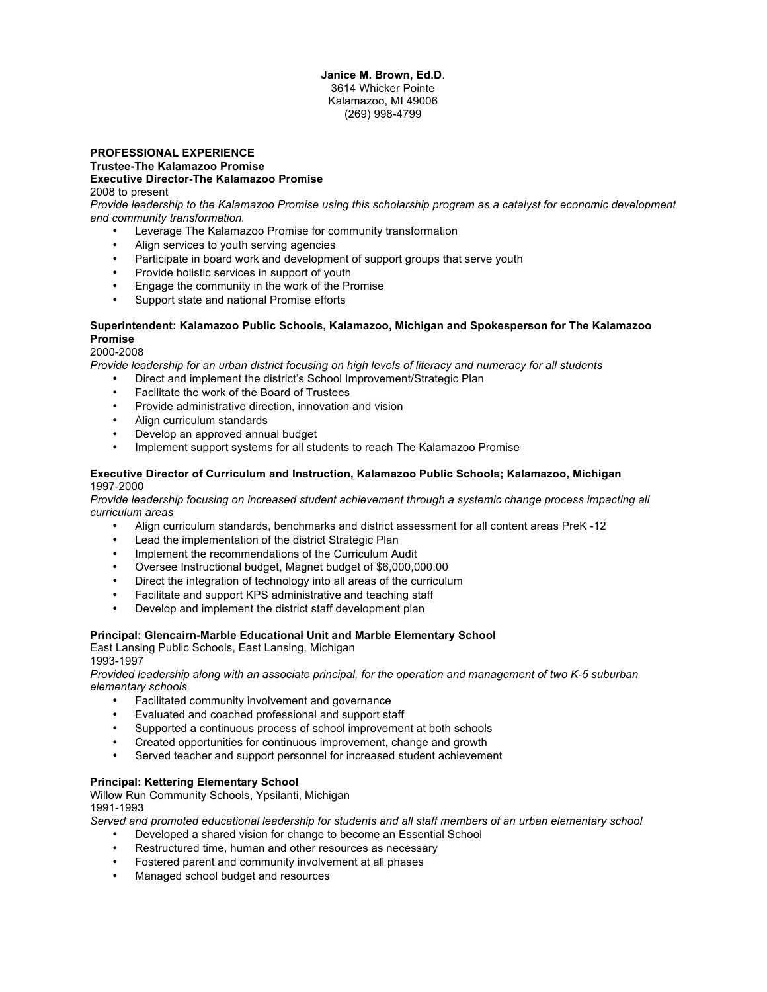#### **Janice M. Brown, Ed.D**. 3614 Whicker Pointe Kalamazoo, MI 49006 (269) 998-4799

#### **PROFESSIONAL EXPERIENCE Trustee-The Kalamazoo Promise Executive Director-The Kalamazoo Promise** 2008 to present

*Provide leadership to the Kalamazoo Promise using this scholarship program as a catalyst for economic development and community transformation.*

- Leverage The Kalamazoo Promise for community transformation
- Align services to youth serving agencies
- Participate in board work and development of support groups that serve youth
- Provide holistic services in support of youth
- Engage the community in the work of the Promise
- Support state and national Promise efforts

#### **Superintendent: Kalamazoo Public Schools, Kalamazoo, Michigan and Spokesperson for The Kalamazoo Promise**

#### 2000-2008

*Provide leadership for an urban district focusing on high levels of literacy and numeracy for all students*

- Direct and implement the district's School Improvement/Strategic Plan
- Facilitate the work of the Board of Trustees
- Provide administrative direction, innovation and vision
- Align curriculum standards
- Develop an approved annual budget
- Implement support systems for all students to reach The Kalamazoo Promise

#### **Executive Director of Curriculum and Instruction, Kalamazoo Public Schools; Kalamazoo, Michigan** 1997-2000

*Provide leadership focusing on increased student achievement through a systemic change process impacting all curriculum areas*

- Align curriculum standards, benchmarks and district assessment for all content areas PreK -12
- Lead the implementation of the district Strategic Plan
- Implement the recommendations of the Curriculum Audit
- Oversee Instructional budget, Magnet budget of \$6,000,000.00
- Direct the integration of technology into all areas of the curriculum
- Facilitate and support KPS administrative and teaching staff
- Develop and implement the district staff development plan

#### **Principal: Glencairn-Marble Educational Unit and Marble Elementary School**

East Lansing Public Schools, East Lansing, Michigan 1993-1997

*Provided leadership along with an associate principal, for the operation and management of two K-5 suburban elementary schools*

- Facilitated community involvement and governance
- Evaluated and coached professional and support staff
- Supported a continuous process of school improvement at both schools
- Created opportunities for continuous improvement, change and growth<br>• Served teacher and support personnel for increased student achieveme
- Served teacher and support personnel for increased student achievement

#### **Principal: Kettering Elementary School**

Willow Run Community Schools, Ypsilanti, Michigan 1991-1993

*Served and promoted educational leadership for students and all staff members of an urban elementary school*

- Developed a shared vision for change to become an Essential School
- Restructured time, human and other resources as necessary
- Fostered parent and community involvement at all phases
- Managed school budget and resources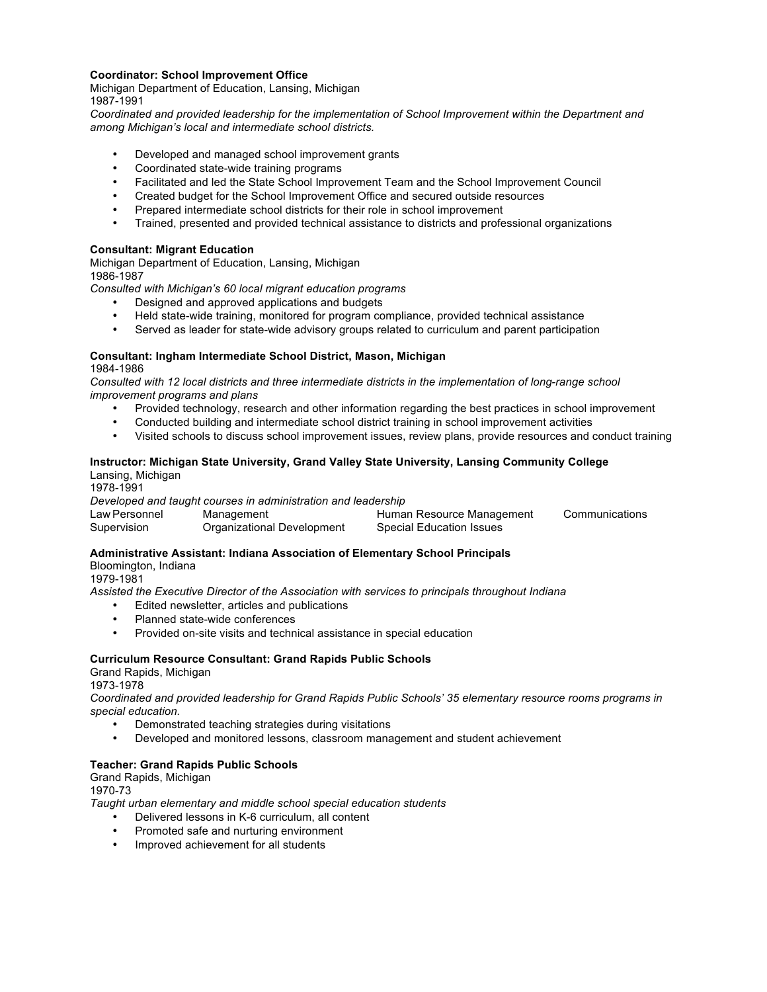### **Coordinator: School Improvement Office**

Michigan Department of Education, Lansing, Michigan 1987-1991

*Coordinated and provided leadership for the implementation of School Improvement within the Department and among Michigan's local and intermediate school districts.*

- Developed and managed school improvement grants
- Coordinated state-wide training programs
- Facilitated and led the State School Improvement Team and the School Improvement Council
- Created budget for the School Improvement Office and secured outside resources
- Prepared intermediate school districts for their role in school improvement
- Trained, presented and provided technical assistance to districts and professional organizations

#### **Consultant: Migrant Education**

Michigan Department of Education, Lansing, Michigan 1986-1987

*Consulted with Michigan's 60 local migrant education programs*

- Designed and approved applications and budgets
- Held state-wide training, monitored for program compliance, provided technical assistance<br>• Served as leader for state wide advisory groups related to curriculum and parent participati
- Served as leader for state-wide advisory groups related to curriculum and parent participation

#### **Consultant: Ingham Intermediate School District, Mason, Michigan** 1984-1986

*Consulted with 12 local districts and three intermediate districts in the implementation of long-range school improvement programs and plans*

- Provided technology, research and other information regarding the best practices in school improvement
- Conducted building and intermediate school district training in school improvement activities<br>• Visited schools to discuss school improvement issues, review plans, provide resources and a
- Visited schools to discuss school improvement issues, review plans, provide resources and conduct training

#### **Instructor: Michigan State University, Grand Valley State University, Lansing Community College** Lansing, Michigan

1978-1991 *Developed and taught courses in administration and leadership* Law Personnel Management Human Resource Management Communications Supervision Organizational Development Special Education Issues

## **Administrative Assistant: Indiana Association of Elementary School Principals**

Bloomington, Indiana

1979-1981

*Assisted the Executive Director of the Association with services to principals throughout Indiana*

- Edited newsletter, articles and publications<br>• Planned state wide conferences
- Planned state-wide conferences
- Provided on-site visits and technical assistance in special education

#### **Curriculum Resource Consultant: Grand Rapids Public Schools**

Grand Rapids, Michigan

1973-1978

*Coordinated and provided leadership for Grand Rapids Public Schools' 35 elementary resource rooms programs in special education.*

- Demonstrated teaching strategies during visitations
- Developed and monitored lessons, classroom management and student achievement

#### **Teacher: Grand Rapids Public Schools**

### Grand Rapids, Michigan

1970-73

*Taught urban elementary and middle school special education students*

- Delivered lessons in K-6 curriculum, all content
- Promoted safe and nurturing environment
- Improved achievement for all students